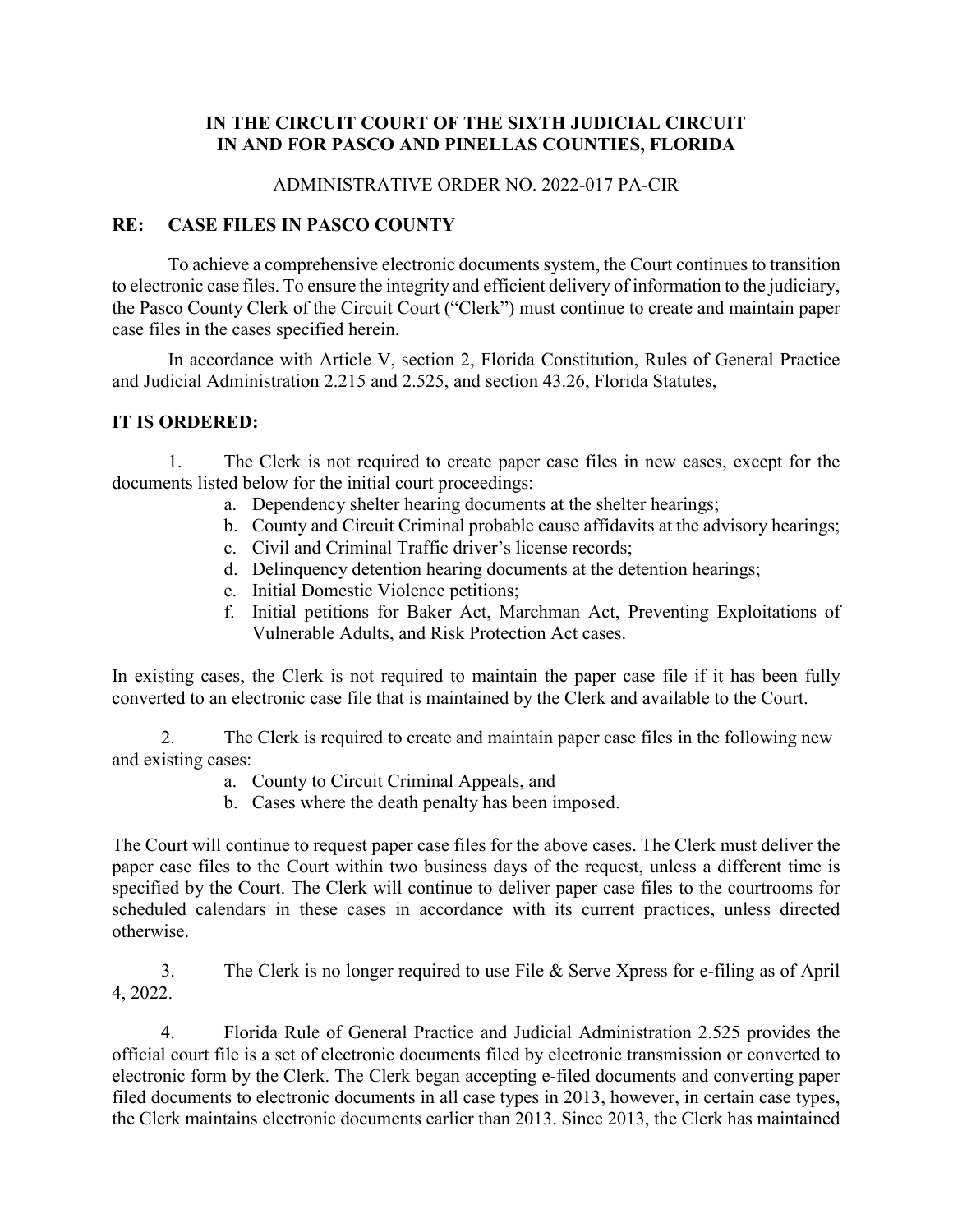## **IN THE CIRCUIT COURT OF THE SIXTH JUDICIAL CIRCUIT IN AND FOR PASCO AND PINELLAS COUNTIES, FLORIDA**

### ADMINISTRATIVE ORDER NO. 2022-017 PA-CIR

## **RE: CASE FILES IN PASCO COUNTY**

To achieve a comprehensive electronic documents system, the Court continues to transition to electronic case files. To ensure the integrity and efficient delivery of information to the judiciary, the Pasco County Clerk of the Circuit Court ("Clerk") must continue to create and maintain paper case files in the cases specified herein.

In accordance with Article V, section 2, Florida Constitution, Rules of General Practice and Judicial Administration 2.215 and 2.525, and section 43.26, Florida Statutes,

### **IT IS ORDERED:**

1. The Clerk is not required to create paper case files in new cases, except for the documents listed below for the initial court proceedings:

- a. Dependency shelter hearing documents at the shelter hearings;
- b. County and Circuit Criminal probable cause affidavits at the advisory hearings;
- c. Civil and Criminal Traffic driver's license records;
- d. Delinquency detention hearing documents at the detention hearings;
- e. Initial Domestic Violence petitions;
- f. Initial petitions for Baker Act, Marchman Act, Preventing Exploitations of Vulnerable Adults, and Risk Protection Act cases.

In existing cases, the Clerk is not required to maintain the paper case file if it has been fully converted to an electronic case file that is maintained by the Clerk and available to the Court.

2. The Clerk is required to create and maintain paper case files in the following new and existing cases:

- a. County to Circuit Criminal Appeals, and
- b. Cases where the death penalty has been imposed.

The Court will continue to request paper case files for the above cases. The Clerk must deliver the paper case files to the Court within two business days of the request, unless a different time is specified by the Court. The Clerk will continue to deliver paper case files to the courtrooms for scheduled calendars in these cases in accordance with its current practices, unless directed otherwise.

3. The Clerk is no longer required to use File & Serve Xpress for e-filing as of April 4, 2022.

4. Florida Rule of General Practice and Judicial Administration 2.525 provides the official court file is a set of electronic documents filed by electronic transmission or converted to electronic form by the Clerk. The Clerk began accepting e-filed documents and converting paper filed documents to electronic documents in all case types in 2013, however, in certain case types, the Clerk maintains electronic documents earlier than 2013. Since 2013, the Clerk has maintained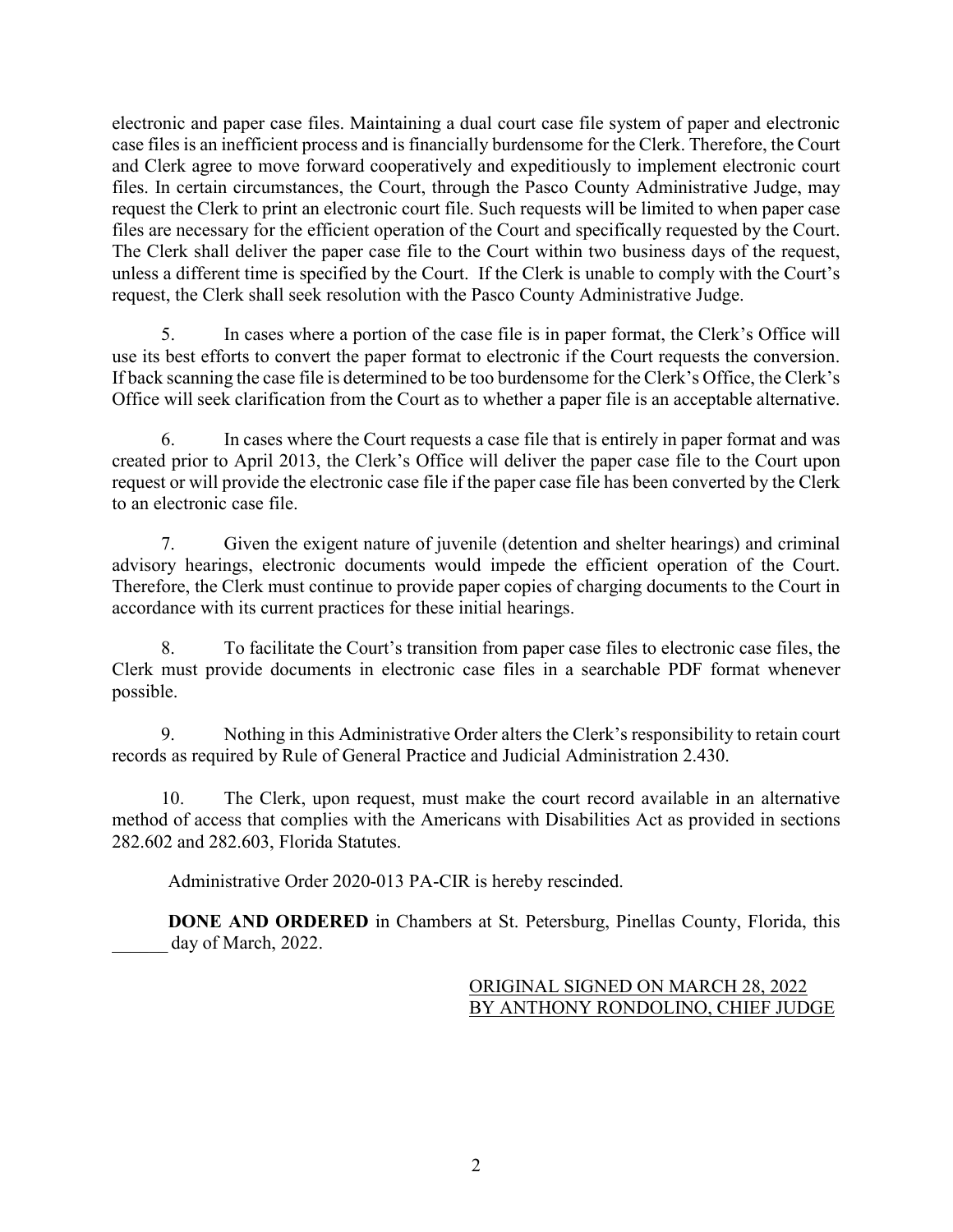electronic and paper case files. Maintaining a dual court case file system of paper and electronic case files is an inefficient process and is financially burdensome for the Clerk. Therefore, the Court and Clerk agree to move forward cooperatively and expeditiously to implement electronic court files. In certain circumstances, the Court, through the Pasco County Administrative Judge, may request the Clerk to print an electronic court file. Such requests will be limited to when paper case files are necessary for the efficient operation of the Court and specifically requested by the Court. The Clerk shall deliver the paper case file to the Court within two business days of the request, unless a different time is specified by the Court. If the Clerk is unable to comply with the Court's request, the Clerk shall seek resolution with the Pasco County Administrative Judge.

5. In cases where a portion of the case file is in paper format, the Clerk's Office will use its best efforts to convert the paper format to electronic if the Court requests the conversion. If back scanning the case file is determined to be too burdensome for the Clerk's Office, the Clerk's Office will seek clarification from the Court as to whether a paper file is an acceptable alternative.

6. In cases where the Court requests a case file that is entirely in paper format and was created prior to April 2013, the Clerk's Office will deliver the paper case file to the Court upon request or will provide the electronic case file if the paper case file has been converted by the Clerk to an electronic case file.

7. Given the exigent nature of juvenile (detention and shelter hearings) and criminal advisory hearings, electronic documents would impede the efficient operation of the Court. Therefore, the Clerk must continue to provide paper copies of charging documents to the Court in accordance with its current practices for these initial hearings.

8. To facilitate the Court's transition from paper case files to electronic case files, the Clerk must provide documents in electronic case files in a searchable PDF format whenever possible.

9. Nothing in this Administrative Order alters the Clerk's responsibility to retain court records as required by Rule of General Practice and Judicial Administration 2.430.

10. The Clerk, upon request, must make the court record available in an alternative method of access that complies with the Americans with Disabilities Act as provided in sections 282.602 and 282.603, Florida Statutes.

Administrative Order 2020-013 PA-CIR is hereby rescinded.

**DONE AND ORDERED** in Chambers at St. Petersburg, Pinellas County, Florida, this day of March, 2022.

# ORIGINAL SIGNED ON MARCH 28, 2022 BY ANTHONY RONDOLINO, CHIEF JUDGE